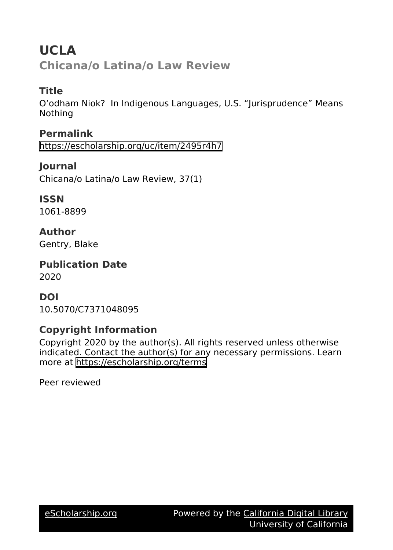**UCLA Chicana/o Latina/o Law Review**

# **Title**

O'odham Niok? In Indigenous Languages, U.S. "Jurisprudence" Means Nothing

**Permalink** <https://escholarship.org/uc/item/2495r4h7>

**Journal** Chicana/o Latina/o Law Review, 37(1)

**ISSN** 1061-8899

**Author** Gentry, Blake

**Publication Date** 2020

# **DOI**

10.5070/C7371048095

# **Copyright Information**

Copyright 2020 by the author(s). All rights reserved unless otherwise indicated. Contact the author(s) for any necessary permissions. Learn more at <https://escholarship.org/terms>

Peer reviewed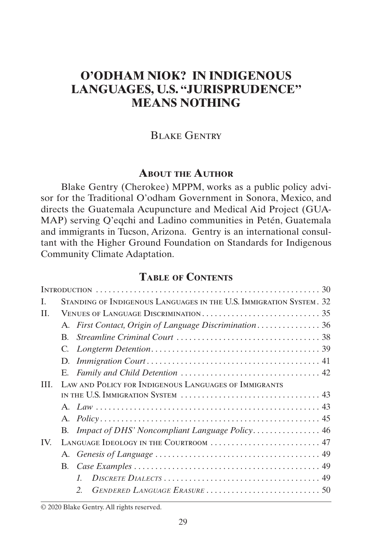# **O'ODHAM NIOK? IN INDIGENOUS LANGUAGES, U.S. "JURISPRUDENCE" MEANS NOTHING**

## <span id="page-1-0"></span>Blake Gentry

### **About the Author**

Blake Gentry (Cherokee) MPPM, works as a public policy advisor for the Traditional O'odham Government in Sonora, Mexico, and directs the Guatemala Acupuncture and Medical Aid Project (GUA-MAP) serving Q'eqchi and Ladino communities in Petén, Guatemala and immigrants in Tucson, Arizona. Gentry is an international consultant with the Higher Ground Foundation on Standards for Indigenous Community Climate Adaptation.

## **Table of Contents**

| B.                                                    |                 |                                                                                                                              |  |
|-------------------------------------------------------|-----------------|------------------------------------------------------------------------------------------------------------------------------|--|
|                                                       |                 |                                                                                                                              |  |
|                                                       |                 |                                                                                                                              |  |
|                                                       |                 |                                                                                                                              |  |
| LAW AND POLICY FOR INDIGENOUS LANGUAGES OF IMMIGRANTS |                 |                                                                                                                              |  |
|                                                       |                 |                                                                                                                              |  |
|                                                       |                 |                                                                                                                              |  |
|                                                       |                 |                                                                                                                              |  |
|                                                       |                 |                                                                                                                              |  |
| LANGUAGE IDEOLOGY IN THE COURTROOM  47                |                 |                                                                                                                              |  |
|                                                       |                 |                                                                                                                              |  |
|                                                       |                 |                                                                                                                              |  |
|                                                       | $\mathcal{I}$ . |                                                                                                                              |  |
|                                                       | $\mathcal{L}$   |                                                                                                                              |  |
|                                                       |                 | STANDING OF INDIGENOUS LANGUAGES IN THE U.S. IMMIGRATION SYSTEM. 32<br>A. First Contact, Origin of Language Discrimination36 |  |

© 2020 Blake Gentry. All rights reserved.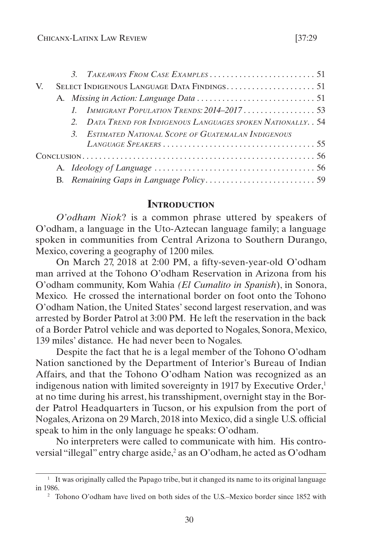<span id="page-2-0"></span>

| V. |  |  |                                                              |  |  |  |  |
|----|--|--|--------------------------------------------------------------|--|--|--|--|
|    |  |  |                                                              |  |  |  |  |
|    |  |  | IMMIGRANT POPULATION TRENDS: $2014-2017$ 53                  |  |  |  |  |
|    |  |  | 2. DATA TREND FOR INDIGENOUS LANGUAGES SPOKEN NATIONALLY. 54 |  |  |  |  |
|    |  |  | 3. ESTIMATED NATIONAL SCOPE OF GUATEMALAN INDIGENOUS         |  |  |  |  |
|    |  |  |                                                              |  |  |  |  |
|    |  |  |                                                              |  |  |  |  |
|    |  |  |                                                              |  |  |  |  |
|    |  |  |                                                              |  |  |  |  |
|    |  |  |                                                              |  |  |  |  |

## **Introduction**

*O'odham Niok*? is a common phrase uttered by speakers of O'odham, a language in the Uto-Aztecan language family; a language spoken in communities from Central Arizona to Southern Durango, Mexico, covering a geography of 1200 miles.

On March 27, 2018 at 2:00 PM, a fifty-seven-year-old O'odham man arrived at the Tohono O'odham Reservation in Arizona from his O'odham community, Kom Wahia *(El Cumalito in Spanish*), in Sonora, Mexico. He crossed the international border on foot onto the Tohono O'odham Nation, the United States' second largest reservation, and was arrested by Border Patrol at 3:00 PM. He left the reservation in the back of a Border Patrol vehicle and was deported to Nogales, Sonora, Mexico, 139 miles' distance. He had never been to Nogales.

Despite the fact that he is a legal member of the Tohono O'odham Nation sanctioned by the Department of Interior's Bureau of Indian Affairs, and that the Tohono O'odham Nation was recognized as an indigenous nation with limited sovereignty in 1917 by Executive Order, $<sup>1</sup>$ </sup> at no time during his arrest, his transshipment, overnight stay in the Border Patrol Headquarters in Tucson, or his expulsion from the port of Nogales, Arizona on 29 March, 2018 into Mexico, did a single U.S. official speak to him in the only language he speaks: O'odham.

No interpreters were called to communicate with him. His controversial "illegal" entry charge aside,<sup>2</sup> as an O'odham, he acted as O'odham

<sup>&</sup>lt;sup>1</sup> It was originally called the Papago tribe, but it changed its name to its original language in 1986.

<sup>2</sup> Tohono O'odham have lived on both sides of the U.S.–Mexico border since 1852 with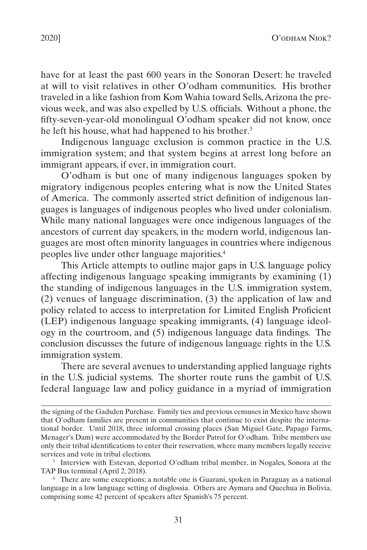have for at least the past 600 years in the Sonoran Desert: he traveled at will to visit relatives in other O'odham communities. His brother traveled in a like fashion from Kom Wahia toward Sells, Arizona the previous week, and was also expelled by U.S. officials. Without a phone, the fifty-seven-year-old monolingual O'odham speaker did not know, once he left his house, what had happened to his brother.<sup>3</sup>

Indigenous language exclusion is common practice in the U.S. immigration system; and that system begins at arrest long before an immigrant appears, if ever, in immigration court.

O'odham is but one of many indigenous languages spoken by migratory indigenous peoples entering what is now the United States of America. The commonly asserted strict definition of indigenous languages is languages of indigenous peoples who lived under colonialism. While many national languages were once indigenous languages of the ancestors of current day speakers, in the modern world, indigenous languages are most often minority languages in countries where indigenous peoples live under other language majorities.4

This Article attempts to outline major gaps in U.S. language policy affecting indigenous language speaking immigrants by examining (1) the standing of indigenous languages in the U.S. immigration system, (2) venues of language discrimination, (3) the application of law and policy related to access to interpretation for Limited English Proficient (LEP) indigenous language speaking immigrants, (4) language ideology in the courtroom, and (5) indigenous language data findings. The conclusion discusses the future of indigenous language rights in the U.S. immigration system.

There are several avenues to understanding applied language rights in the U.S. judicial systems. The shorter route runs the gambit of U.S. federal language law and policy guidance in a myriad of immigration

the signing of the Gadsden Purchase. Family ties and previous censuses in Mexico have shown that O'odham families are present in communities that continue to exist despite the international border. Until 2018, three informal crossing places (San Miguel Gate, Papago Farms, Menager's Dam) were accommodated by the Border Patrol for O'odham. Tribe members use only their tribal identifications to enter their reservation, where many members legally receive services and vote in tribal elections.

<sup>3</sup> Interview with Estevan, deported O'odham tribal member, in Nogales, Sonora at the TAP Bus terminal (April 2, 2018).

<sup>4</sup> There are some exceptions; a notable one is Guarani, spoken in Paraguay as a national language in a low language setting of disglossia. Others are Aymara and Quechua in Bolivia, comprising some 42 percent of speakers after Spanish's 75 percent.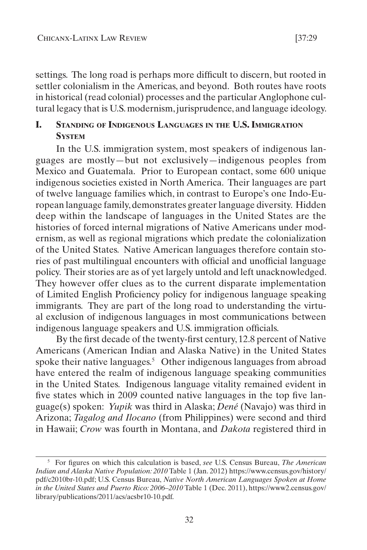<span id="page-4-0"></span>settings. The long road is perhaps more difficult to discern, but rooted in settler colonialism in the Americas, and beyond. Both routes have roots in historical (read colonial) processes and the particular Anglophone cultural legacy that is U.S. modernism, jurisprudence, and language ideology.

## **I. Standing of Indigenous Languages in the U.S. Immigration System**

In the U.S. immigration system, most speakers of indigenous languages are mostly—but not exclusively—indigenous peoples from Mexico and Guatemala. Prior to European contact, some 600 unique indigenous societies existed in North America. Their languages are part of twelve language families which, in contrast to Europe's one Indo-European language family, demonstrates greater language diversity. Hidden deep within the landscape of languages in the United States are the histories of forced internal migrations of Native Americans under modernism, as well as regional migrations which predate the colonialization of the United States. Native American languages therefore contain stories of past multilingual encounters with official and unofficial language policy. Their stories are as of yet largely untold and left unacknowledged. They however offer clues as to the current disparate implementation of Limited English Proficiency policy for indigenous language speaking immigrants. They are part of the long road to understanding the virtual exclusion of indigenous languages in most communications between indigenous language speakers and U.S. immigration officials.

By the first decade of the twenty-first century, 12.8 percent of Native Americans (American Indian and Alaska Native) in the United States spoke their native languages.<sup>5</sup> Other indigenous languages from abroad have entered the realm of indigenous language speaking communities in the United States. Indigenous language vitality remained evident in five states which in 2009 counted native languages in the top five language(s) spoken: *Yupik* was third in Alaska; *Dené* (Navajo) was third in Arizona; *Tagalog and Ilocano* (from Philippines) were second and third in Hawaii; *Crow* was fourth in Montana, and *Dakota* registered third in

<sup>5</sup> For figures on which this calculation is based, *see* U.S. Census Bureau, *The American Indian and Alaska Native Population: 2010* Table 1 (Jan. 2012) https://www.census.gov/history/ pdf/c2010br-10.pdf; U.S. Census Bureau, *Native North American Languages Spoken at Home in the United States and Puerto Rico: 2006–2010* Table 1 (Dec. 2011), https://www2.census.gov/ library/publications/2011/acs/acsbr10-10.pdf.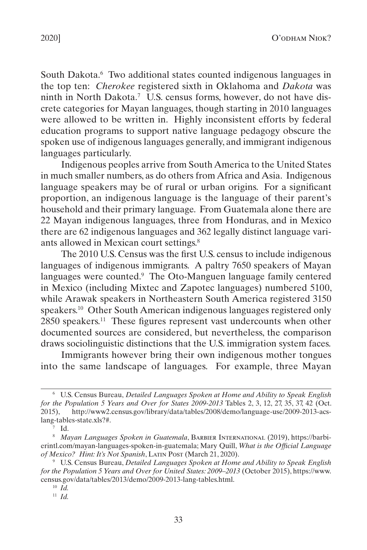South Dakota.<sup>6</sup> Two additional states counted indigenous languages in the top ten: *Cherokee* registered sixth in Oklahoma and *Dakota* was ninth in North Dakota.7 U.S. census forms, however, do not have discrete categories for Mayan languages, though starting in 2010 languages were allowed to be written in. Highly inconsistent efforts by federal education programs to support native language pedagogy obscure the spoken use of indigenous languages generally, and immigrant indigenous languages particularly.

Indigenous peoples arrive from South America to the United States in much smaller numbers, as do others from Africa and Asia. Indigenous language speakers may be of rural or urban origins. For a significant proportion, an indigenous language is the language of their parent's household and their primary language. From Guatemala alone there are 22 Mayan indigenous languages, three from Honduras, and in Mexico there are 62 indigenous languages and 362 legally distinct language variants allowed in Mexican court settings.8

The 2010 U.S. Census was the first U.S. census to include indigenous languages of indigenous immigrants. A paltry 7650 speakers of Mayan languages were counted.<sup>9</sup> The Oto-Manguen language family centered in Mexico (including Mixtec and Zapotec languages) numbered 5100, while Arawak speakers in Northeastern South America registered 3150 speakers.10 Other South American indigenous languages registered only 2850 speakers.<sup>11</sup> These figures represent vast undercounts when other documented sources are considered, but nevertheless, the comparison draws sociolinguistic distinctions that the U.S. immigration system faces.

Immigrants however bring their own indigenous mother tongues into the same landscape of languages. For example, three Mayan

 $7$  Id.

<sup>6</sup> U.S. Census Bureau, *Detailed Languages Spoken at Home and Ability to Speak English for the Population 5 Years and Over for States 2009-2013* Tables 2, 3, 12, 27, 35, 37, 42 (Oct. 2015), http://www2.census.gov/library/data/tables/2008/demo/language-use/2009-2013-acslang-tables-state.xls?#.

<sup>8</sup> *Mayan Languages Spoken in Guatemala*, Barbier International (2019), https://barbierintl.com/mayan-languages-spoken-in-guatemala; Mary Quill, *What is the Official Language of Mexico? Hint: It's Not Spanish*, Latin Post (March 21, 2020).

<sup>9</sup> U.S. Census Bureau, *Detailed Languages Spoken at Home and Ability to Speak English for the Population 5 Years and Over for United States: 2009–2013* (October 2015), https://www. census.gov/data/tables/2013/demo/2009-2013-lang-tables.html.

<sup>10</sup> *Id.*

<sup>11</sup> *Id.*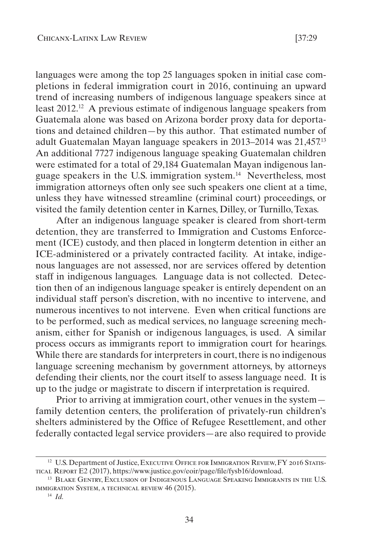languages were among the top 25 languages spoken in initial case completions in federal immigration court in 2016, continuing an upward trend of increasing numbers of indigenous language speakers since at least 2012.12 A previous estimate of indigenous language speakers from Guatemala alone was based on Arizona border proxy data for deportations and detained children—by this author. That estimated number of adult Guatemalan Mayan language speakers in 2013–2014 was 21,457.13 An additional 7727 indigenous language speaking Guatemalan children were estimated for a total of 29,184 Guatemalan Mayan indigenous language speakers in the U.S. immigration system.14 Nevertheless, most immigration attorneys often only see such speakers one client at a time, unless they have witnessed streamline (criminal court) proceedings, or visited the family detention center in Karnes, Dilley, or Turnillo, Texas.

After an indigenous language speaker is cleared from short-term detention, they are transferred to Immigration and Customs Enforcement (ICE) custody, and then placed in longterm detention in either an ICE-administered or a privately contracted facility. At intake, indigenous languages are not assessed, nor are services offered by detention staff in indigenous languages. Language data is not collected. Detection then of an indigenous language speaker is entirely dependent on an individual staff person's discretion, with no incentive to intervene, and numerous incentives to not intervene. Even when critical functions are to be performed, such as medical services, no language screening mechanism, either for Spanish or indigenous languages, is used. A similar process occurs as immigrants report to immigration court for hearings. While there are standards for interpreters in court, there is no indigenous language screening mechanism by government attorneys, by attorneys defending their clients, nor the court itself to assess language need. It is up to the judge or magistrate to discern if interpretation is required.

Prior to arriving at immigration court, other venues in the system family detention centers, the proliferation of privately-run children's shelters administered by the Office of Refugee Resettlement, and other federally contacted legal service providers—are also required to provide

<sup>&</sup>lt;sup>12</sup> U.S. Department of Justice, EXECUTIVE OFFICE FOR IMMIGRATION REVIEW, FY 2016 STATIStical Report E2 (2017), https://www.justice.gov/eoir/page/file/fysb16/download.

<sup>13</sup> Blake Gentry, Exclusion of Indigenous Language Speaking Immigrants in the U.S. immigration System, a technical review 46 (2015).

<sup>14</sup> *Id.*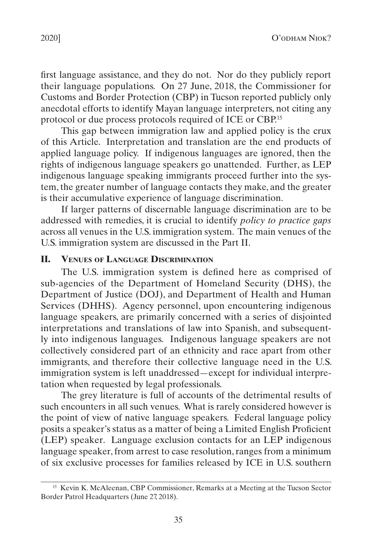<span id="page-7-0"></span>first language assistance, and they do not. Nor do they publicly report their language populations. On 27 June, 2018, the Commissioner for Customs and Border Protection (CBP) in Tucson reported publicly only anecdotal efforts to identify Mayan language interpreters, not citing any protocol or due process protocols required of ICE or CBP.15

This gap between immigration law and applied policy is the crux of this Article. Interpretation and translation are the end products of applied language policy. If indigenous languages are ignored, then the rights of indigenous language speakers go unattended. Further, as LEP indigenous language speaking immigrants proceed further into the system, the greater number of language contacts they make, and the greater is their accumulative experience of language discrimination.

If larger patterns of discernable language discrimination are to be addressed with remedies, it is crucial to identify *policy to practice gaps* across all venues in the U.S. immigration system. The main venues of the U.S. immigration system are discussed in the Part [II](#page-7-1).

#### <span id="page-7-1"></span>**II. Venues of Language Discrimination**

The U.S. immigration system is defined here as comprised of sub-agencies of the Department of Homeland Security (DHS), the Department of Justice (DOJ), and Department of Health and Human Services (DHHS). Agency personnel, upon encountering indigenous language speakers, are primarily concerned with a series of disjointed interpretations and translations of law into Spanish, and subsequently into indigenous languages. Indigenous language speakers are not collectively considered part of an ethnicity and race apart from other immigrants, and therefore their collective language need in the U.S. immigration system is left unaddressed—except for individual interpretation when requested by legal professionals.

The grey literature is full of accounts of the detrimental results of such encounters in all such venues. What is rarely considered however is the point of view of native language speakers. Federal language policy posits a speaker's status as a matter of being a Limited English Proficient (LEP) speaker. Language exclusion contacts for an LEP indigenous language speaker, from arrest to case resolution, ranges from a minimum of six exclusive processes for families released by ICE in U.S. southern

<sup>&</sup>lt;sup>15</sup> Kevin K. McAleenan, CBP Commissioner, Remarks at a Meeting at the Tucson Sector Border Patrol Headquarters (June 27, 2018).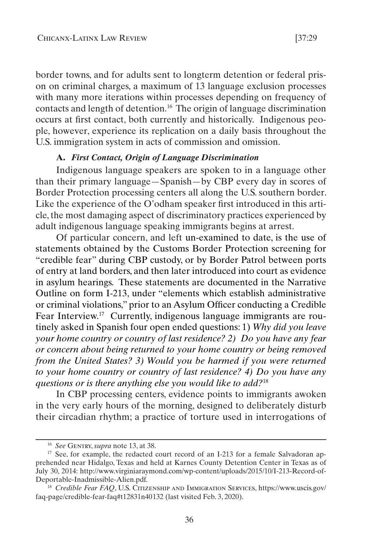<span id="page-8-0"></span>border towns, and for adults sent to longterm detention or federal prison on criminal charges, a maximum of 13 language exclusion processes with many more iterations within processes depending on frequency of contacts and length of detention.16 The origin of language discrimination occurs at first contact, both currently and historically. Indigenous people, however, experience its replication on a daily basis throughout the

# U.S. immigration system in acts of commission and omission. **A.** *First Contact, Origin of Language Discrimination*

Indigenous language speakers are spoken to in a language other than their primary language—Spanish—by CBP every day in scores of Border Protection processing centers all along the U.S. southern border. Like the experience of the O'odham speaker first introduced in this article, the most damaging aspect of discriminatory practices experienced by adult indigenous language speaking immigrants begins at arrest.

Of particular concern, and left un-examined to date, is the use of statements obtained by the Customs Border Protection screening for "credible fear" during CBP custody, or by Border Patrol between ports of entry at land borders, and then later introduced into court as evidence in asylum hearings. These statements are documented in the Narrative Outline on form I-213, under "elements which establish administrative or criminal violations," prior to an Asylum Officer conducting a Credible Fear Interview.<sup>17</sup> Currently, indigenous language immigrants are routinely asked in Spanish four open ended questions: 1) *Why did you leave your home country or country of last residence? 2) Do you have any fear or concern about being returned to your home country or being removed from the United States? 3) Would you be harmed if you were returned to your home country or country of last residence? 4) Do you have any questions or is there anything else you would like to add?*<sup>18</sup>

In CBP processing centers, evidence points to immigrants awoken in the very early hours of the morning, designed to deliberately disturb their circadian rhythm; a practice of torture used in interrogations of

<sup>16</sup> *See* Gentry, *supra* note 13, at 38.

 $17$  See, for example, the redacted court record of an I-213 for a female Salvadoran apprehended near Hidalgo, Texas and held at Karnes County Detention Center in Texas as of July 30, 2014: http://www.virginiaraymond.com/wp-content/uploads/2015/10/I-213-Record-of-Deportable-Inadmissible-Alien.pdf.

<sup>18</sup> *Credible Fear FAQ*, U.S. Citizenship and Immigration Services, https://www.uscis.gov/ faq-page/credible-fear-faq#t12831n40132 (last visited Feb. 3, 2020).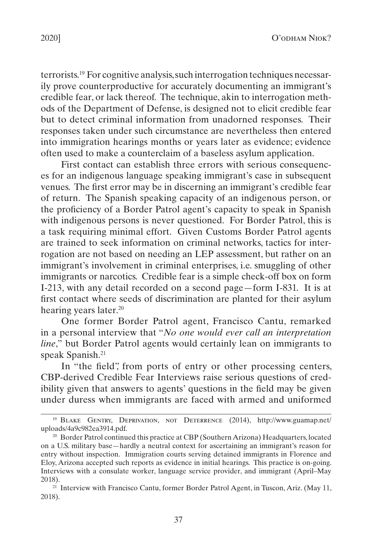terrorists.19 For cognitive analysis, such interrogation techniques necessarily prove counterproductive for accurately documenting an immigrant's credible fear, or lack thereof. The technique, akin to interrogation methods of the Department of Defense, is designed not to elicit credible fear but to detect criminal information from unadorned responses. Their responses taken under such circumstance are nevertheless then entered into immigration hearings months or years later as evidence; evidence often used to make a counterclaim of a baseless asylum application.

First contact can establish three errors with serious consequences for an indigenous language speaking immigrant's case in subsequent venues. The first error may be in discerning an immigrant's credible fear of return. The Spanish speaking capacity of an indigenous person, or the proficiency of a Border Patrol agent's capacity to speak in Spanish with indigenous persons is never questioned. For Border Patrol, this is a task requiring minimal effort. Given Customs Border Patrol agents are trained to seek information on criminal networks, tactics for interrogation are not based on needing an LEP assessment, but rather on an immigrant's involvement in criminal enterprises, i.e. smuggling of other immigrants or narcotics. Credible fear is a simple check-off box on form I-213, with any detail recorded on a second page—form I-831. It is at first contact where seeds of discrimination are planted for their asylum hearing years later.<sup>20</sup>

One former Border Patrol agent, Francisco Cantu, remarked in a personal interview that "*No one would ever call an interpretation line*," but Border Patrol agents would certainly lean on immigrants to speak Spanish.<sup>21</sup>

In "the field", from ports of entry or other processing centers, CBP-derived Credible Fear Interviews raise serious questions of credibility given that answers to agents' questions in the field may be given under duress when immigrants are faced with armed and uniformed

<sup>19</sup> Blake Gentry, Deprivation, not Deterrence (2014), http://www.guamap.net/ uploads/4a9c982ea3914.pdf.

<sup>20</sup> Border Patrol continued this practice at CBP (Southern Arizona) Headquarters, located on a U.S. military base—hardly a neutral context for ascertaining an immigrant's reason for entry without inspection. Immigration courts serving detained immigrants in Florence and Eloy, Arizona accepted such reports as evidence in initial hearings. This practice is on-going. Interviews with a consulate worker, language service provider, and immigrant (April–May 2018).

<sup>&</sup>lt;sup>21</sup> Interview with Francisco Cantu, former Border Patrol Agent, in Tuscon, Ariz. (May 11, 2018).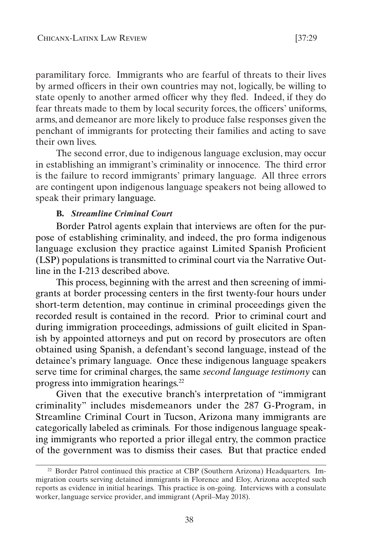<span id="page-10-0"></span>paramilitary force. Immigrants who are fearful of threats to their lives by armed officers in their own countries may not, logically, be willing to state openly to another armed officer why they fled. Indeed, if they do fear threats made to them by local security forces, the officers' uniforms, arms, and demeanor are more likely to produce false responses given the penchant of immigrants for protecting their families and acting to save their own lives.

The second error, due to indigenous language exclusion, may occur in establishing an immigrant's criminality or innocence. The third error is the failure to record immigrants' primary language. All three errors are contingent upon indigenous language speakers not being allowed to speak their primary language.

#### **B.** *Streamline Criminal Court*

Border Patrol agents explain that interviews are often for the purpose of establishing criminality, and indeed, the pro forma indigenous language exclusion they practice against Limited Spanish Proficient (LSP) populations is transmitted to criminal court via the Narrative Outline in the I-213 described above.

This process, beginning with the arrest and then screening of immigrants at border processing centers in the first twenty-four hours under short-term detention, may continue in criminal proceedings given the recorded result is contained in the record. Prior to criminal court and during immigration proceedings, admissions of guilt elicited in Spanish by appointed attorneys and put on record by prosecutors are often obtained using Spanish, a defendant's second language, instead of the detainee's primary language. Once these indigenous language speakers serve time for criminal charges, the same *second language testimony* can progress into immigration hearings.22

Given that the executive branch's interpretation of "immigrant criminality" includes misdemeanors under the 287 G-Program, in Streamline Criminal Court in Tucson, Arizona many immigrants are categorically labeled as criminals. For those indigenous language speaking immigrants who reported a prior illegal entry, the common practice of the government was to dismiss their cases. But that practice ended

<sup>22</sup> Border Patrol continued this practice at CBP (Southern Arizona) Headquarters. Immigration courts serving detained immigrants in Florence and Eloy, Arizona accepted such reports as evidence in initial hearings. This practice is on-going. Interviews with a consulate worker, language service provider, and immigrant (April–May 2018).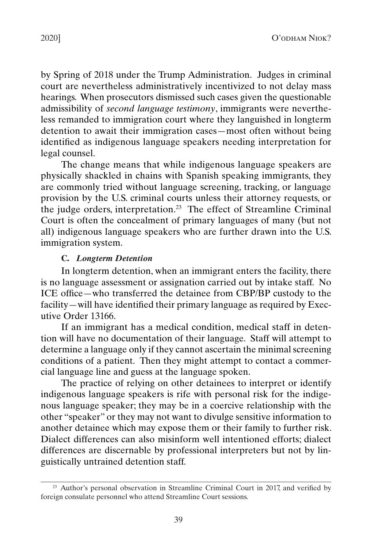<span id="page-11-0"></span>by Spring of 2018 under the Trump Administration. Judges in criminal court are nevertheless administratively incentivized to not delay mass hearings. When prosecutors dismissed such cases given the questionable admissibility of *second language testimony*, immigrants were nevertheless remanded to immigration court where they languished in longterm detention to await their immigration cases—most often without being identified as indigenous language speakers needing interpretation for legal counsel.

The change means that while indigenous language speakers are physically shackled in chains with Spanish speaking immigrants, they are commonly tried without language screening, tracking, or language provision by the U.S. criminal courts unless their attorney requests, or the judge orders, interpretation.23 The effect of Streamline Criminal Court is often the concealment of primary languages of many (but not all) indigenous language speakers who are further drawn into the U.S. immigration system.

#### **C.** *Longterm Detention*

In longterm detention, when an immigrant enters the facility, there is no language assessment or assignation carried out by intake staff. No ICE office—who transferred the detainee from CBP/BP custody to the facility—will have identified their primary language as required by Executive Order 13166.

If an immigrant has a medical condition, medical staff in detention will have no documentation of their language. Staff will attempt to determine a language only if they cannot ascertain the minimal screening conditions of a patient. Then they might attempt to contact a commercial language line and guess at the language spoken.

The practice of relying on other detainees to interpret or identify indigenous language speakers is rife with personal risk for the indigenous language speaker; they may be in a coercive relationship with the other "speaker" or they may not want to divulge sensitive information to another detainee which may expose them or their family to further risk. Dialect differences can also misinform well intentioned efforts; dialect differences are discernable by professional interpreters but not by linguistically untrained detention staff.

<sup>23</sup> Author's personal observation in Streamline Criminal Court in 2017, and verified by foreign consulate personnel who attend Streamline Court sessions.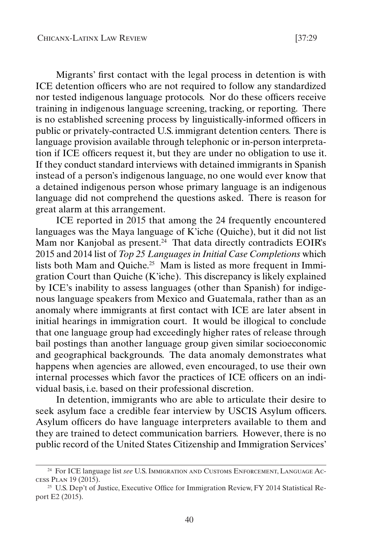Migrants' first contact with the legal process in detention is with ICE detention officers who are not required to follow any standardized nor tested indigenous language protocols. Nor do these officers receive training in indigenous language screening, tracking, or reporting. There is no established screening process by linguistically-informed officers in public or privately-contracted U.S. immigrant detention centers. There is language provision available through telephonic or in-person interpretation if ICE officers request it, but they are under no obligation to use it. If they conduct standard interviews with detained immigrants in Spanish instead of a person's indigenous language, no one would ever know that a detained indigenous person whose primary language is an indigenous language did not comprehend the questions asked. There is reason for great alarm at this arrangement.

ICE reported in 2015 that among the 24 frequently encountered languages was the Maya language of K'iche (Quiche), but it did not list Mam nor Kanjobal as present.<sup>24</sup> That data directly contradicts EOIR's 2015 and 2014 list of *Top 25 Languages in Initial Case Completions* which lists both Mam and Quiche.25 Mam is listed as more frequent in Immigration Court than Quiche (K'iche). This discrepancy is likely explained by ICE's inability to assess languages (other than Spanish) for indigenous language speakers from Mexico and Guatemala, rather than as an anomaly where immigrants at first contact with ICE are later absent in initial hearings in immigration court. It would be illogical to conclude that one language group had exceedingly higher rates of release through bail postings than another language group given similar socioeconomic and geographical backgrounds. The data anomaly demonstrates what happens when agencies are allowed, even encouraged, to use their own internal processes which favor the practices of ICE officers on an individual basis, i.e. based on their professional discretion.

In detention, immigrants who are able to articulate their desire to seek asylum face a credible fear interview by USCIS Asylum officers. Asylum officers do have language interpreters available to them and they are trained to detect communication barriers. However, there is no public record of the United States Citizenship and Immigration Services'

<sup>24</sup> For ICE language list *see* U.S. Immigration and Customs Enforcement, Language Access Plan 19 (2015).

<sup>&</sup>lt;sup>25</sup> U.S. Dep't of Justice, Executive Office for Immigration Review, FY 2014 Statistical Report E2 (2015).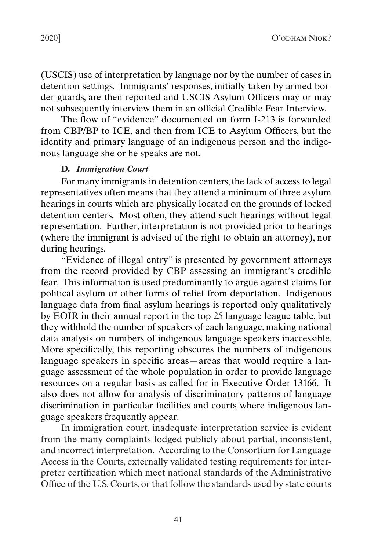<span id="page-13-0"></span>(USCIS) use of interpretation by language nor by the number of cases in detention settings. Immigrants' responses, initially taken by armed border guards, are then reported and USCIS Asylum Officers may or may not subsequently interview them in an official Credible Fear Interview.

The flow of "evidence" documented on form I-213 is forwarded from CBP/BP to ICE, and then from ICE to Asylum Officers, but the identity and primary language of an indigenous person and the indigenous language she or he speaks are not.

#### **D.** *Immigration Court*

For many immigrants in detention centers, the lack of access to legal representatives often means that they attend a minimum of three asylum hearings in courts which are physically located on the grounds of locked detention centers. Most often, they attend such hearings without legal representation. Further, interpretation is not provided prior to hearings (where the immigrant is advised of the right to obtain an attorney), nor during hearings.

"Evidence of illegal entry" is presented by government attorneys from the record provided by CBP assessing an immigrant's credible fear. This information is used predominantly to argue against claims for political asylum or other forms of relief from deportation. Indigenous language data from final asylum hearings is reported only qualitatively by EOIR in their annual report in the top 25 language league table, but they withhold the number of speakers of each language, making national data analysis on numbers of indigenous language speakers inaccessible. More specifically, this reporting obscures the numbers of indigenous language speakers in specific areas—areas that would require a language assessment of the whole population in order to provide language resources on a regular basis as called for in Executive Order 13166. It also does not allow for analysis of discriminatory patterns of language discrimination in particular facilities and courts where indigenous language speakers frequently appear.

In immigration court, inadequate interpretation service is evident from the many complaints lodged publicly about partial, inconsistent, and incorrect interpretation. According to the Consortium for Language Access in the Courts, externally validated testing requirements for interpreter certification which meet national standards of the Administrative Office of the U.S. Courts, or that follow the standards used by state courts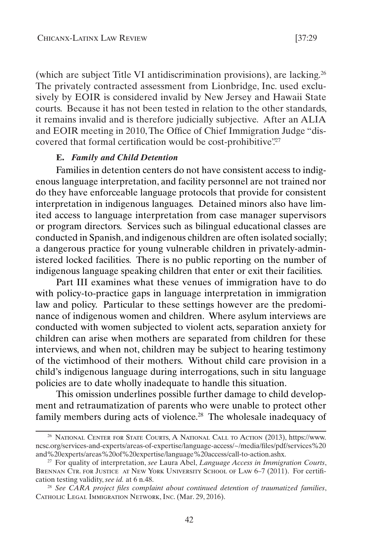<span id="page-14-0"></span>(which are subject Title VI antidiscrimination provisions), are lacking.26 The privately contracted assessment from Lionbridge, Inc. used exclusively by EOIR is considered invalid by New Jersey and Hawaii State courts. Because it has not been tested in relation to the other standards, it remains invalid and is therefore judicially subjective. After an ALIA and EOIR meeting in 2010, The Office of Chief Immigration Judge "discovered that formal certification would be cost-prohibitive.<sup>27</sup>

#### **E.** *Family and Child Detention*

Families in detention centers do not have consistent access to indigenous language interpretation, and facility personnel are not trained nor do they have enforceable language protocols that provide for consistent interpretation in indigenous languages. Detained minors also have limited access to language interpretation from case manager supervisors or program directors. Services such as bilingual educational classes are conducted in Spanish, and indigenous children are often isolated socially; a dangerous practice for young vulnerable children in privately-administered locked facilities. There is no public reporting on the number of indigenous language speaking children that enter or exit their facilities.

Part III examines what these venues of immigration have to do with policy-to-practice gaps in language interpretation in immigration law and policy. Particular to these settings however are the predominance of indigenous women and children. Where asylum interviews are conducted with women subjected to violent acts, separation anxiety for children can arise when mothers are separated from children for these interviews, and when not, children may be subject to hearing testimony of the victimhood of their mothers. Without child care provision in a child's indigenous language during interrogations, such in situ language policies are to date wholly inadequate to handle this situation.

This omission underlines possible further damage to child development and retraumatization of parents who were unable to protect other family members during acts of violence.<sup>28</sup> The wholesale inadequacy of

<sup>26</sup> National Center for State Courts, A National Call to Action (2013), https://www. ncsc.org/services-and-experts/areas-of-expertise/language-access/~/media/files/pdf/services%20 and%20experts/areas%20of%20expertise/language%20access/call-to-action.ashx.

<sup>27</sup> For quality of interpretation, *see* Laura Abel, *Language Access in Immigration Courts*, BRENNAN CTR. FOR JUSTICE AT NEW YORK UNIVERSITY SCHOOL OF LAW 6-7 (2011). For certification testing validity, *see id.* at 6 n.48.

<sup>28</sup> *See CARA project files complaint about continued detention of traumatized families*, CATHOLIC LEGAL IMMIGRATION NETWORK, INC. (Mar. 29, 2016).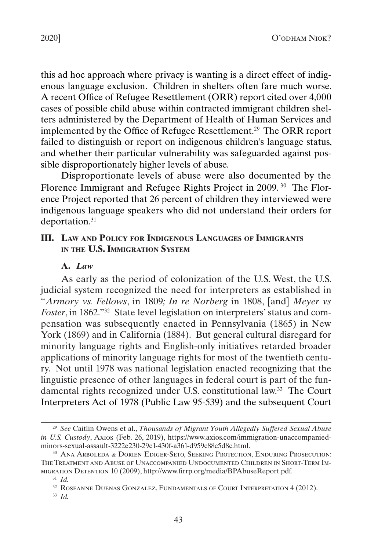<span id="page-15-0"></span>this ad hoc approach where privacy is wanting is a direct effect of indigenous language exclusion. Children in shelters often fare much worse. A recent Office of Refugee Resettlement (ORR) report cited over 4,000 cases of possible child abuse within contracted immigrant children shelters administered by the Department of Health of Human Services and implemented by the Office of Refugee Resettlement.29 The ORR report failed to distinguish or report on indigenous children's language status, and whether their particular vulnerability was safeguarded against possible disproportionately higher levels of abuse.

Disproportionate levels of abuse were also documented by the Florence Immigrant and Refugee Rights Project in 2009.<sup>30</sup> The Florence Project reported that 26 percent of children they interviewed were indigenous language speakers who did not understand their orders for deportation.<sup>31</sup>

## **III. Law and Policy for Indigenous Languages of Immigrants in the U.S. Immigration System**

#### **A.** *Law*

As early as the period of colonization of the U.S. West, the U.S. judicial system recognized the need for interpreters as established in "*Armory vs. Fellows*, in 1809*; In re Norberg* in 1808, [and] *Meyer vs Foster*, in 1862."32 State level legislation on interpreters' status and compensation was subsequently enacted in Pennsylvania (1865) in New York (1869) and in California (1884). But general cultural disregard for minority language rights and English-only initiatives retarded broader applications of minority language rights for most of the twentieth century. Not until 1978 was national legislation enacted recognizing that the linguistic presence of other languages in federal court is part of the fundamental rights recognized under U.S. constitutional law. 33 The Court Interpreters Act of 1978 (Public Law 95-539) and the subsequent Court

<sup>29</sup> *See* Caitlin Owens et al., *Thousands of Migrant Youth Allegedly Suffered Sexual Abuse in U.S. Custody*, Axios (Feb. 26, 2019), https://www.axios.com/immigration-unaccompaniedminors-sexual-assault-3222e230-29e1-430f-a361-d959c88c5d8c.html.

<sup>30</sup> Ana Arboleda & Dorien Ediger-Seto, Seeking Protection, Enduring Prosecution: The Treatment and Abuse of Unaccompanied Undocumented Children in Short-Term Immigration Detention 10 (2009), http://www.firrp.org/media/BPAbuseReport.pdf.

<sup>31</sup> *Id.*

<sup>32</sup> Roseanne Duenas Gonzalez, Fundamentals of Court Interpretation 4 (2012).

<sup>33</sup> *Id.*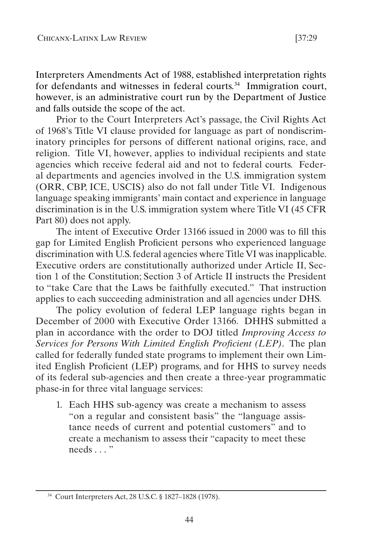Interpreters Amendments Act of 1988, established interpretation rights for defendants and witnesses in federal courts. $34$  Immigration court, however, is an administrative court run by the Department of Justice

and falls outside the scope of the act. Prior to the Court Interpreters Act's passage, the Civil Rights Act of 1968's Title VI clause provided for language as part of nondiscriminatory principles for persons of different national origins, race, and religion. Title VI, however, applies to individual recipients and state agencies which receive federal aid and not to federal courts. Federal departments and agencies involved in the U.S. immigration system (ORR, CBP, ICE, USCIS) also do not fall under Title VI. Indigenous language speaking immigrants' main contact and experience in language discrimination is in the U.S. immigration system where Title VI (45 CFR Part 80) does not apply.

The intent of Executive Order 13166 issued in 2000 was to fill this gap for Limited English Proficient persons who experienced language discrimination with U.S. federal agencies where Title VI was inapplicable. Executive orders are constitutionally authorized under Article II, Section 1 of the Constitution; Section 3 of Article II instructs the President to "take Care that the Laws be faithfully executed." That instruction applies to each succeeding administration and all agencies under DHS.

The policy evolution of federal LEP language rights began in December of 2000 with Executive Order 13166. DHHS submitted a plan in accordance with the order to DOJ titled *Improving Access to Services for Persons With Limited English Proficient (LEP)*. The plan called for federally funded state programs to implement their own Limited English Proficient (LEP) programs, and for HHS to survey needs of its federal sub-agencies and then create a three-year programmatic phase-in for three vital language services:

1. Each HHS sub-agency was create a mechanism to assess "on a regular and consistent basis" the "language assistance needs of current and potential customers" and to create a mechanism to assess their "capacity to meet these needs . . . "

<sup>34</sup> Court Interpreters Act, 28 U.S.C. § 1827–1828 (1978).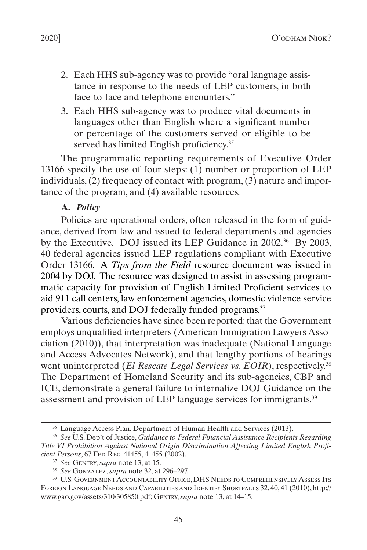- <span id="page-17-0"></span>2. Each HHS sub-agency was to provide "oral language assistance in response to the needs of LEP customers, in both face-to-face and telephone encounters."
- 3. Each HHS sub-agency was to produce vital documents in languages other than English where a significant number or percentage of the customers served or eligible to be served has limited English proficiency.<sup>35</sup>

The programmatic reporting requirements of Executive Order 13166 specify the use of four steps: (1) number or proportion of LEP individuals, (2) frequency of contact with program, (3) nature and importance of the program, and (4) available resources.

#### **A.** *Policy*

Policies are operational orders, often released in the form of guidance, derived from law and issued to federal departments and agencies by the Executive. DOJ issued its LEP Guidance in 2002.<sup>36</sup> By 2003, 40 federal agencies issued LEP regulations compliant with Executive Order 13166. A *Tips from the Field* resource document was issued in 2004 by DOJ. The resource was designed to assist in assessing programmatic capacity for provision of English Limited Proficient services to aid 911 call centers, law enforcement agencies, domestic violence service providers, courts, and DOJ federally funded programs.37

Various deficiencies have since been reported: that the Government employs unqualified interpreters (American Immigration Lawyers Association (2010)), that interpretation was inadequate (National Language and Access Advocates Network), and that lengthy portions of hearings went uninterpreted (*El Rescate Legal Services vs. EOIR*), respectively.<sup>38</sup> The Department of Homeland Security and its sub-agencies, CBP and ICE, demonstrate a general failure to internalize DOJ Guidance on the assessment and provision of LEP language services for immigrants.39

<sup>&</sup>lt;sup>35</sup> Language Access Plan, Department of Human Health and Services (2013).

<sup>36</sup> *See* U.S. Dep't of Justice, *Guidance to Federal Financial Assistance Recipients Regarding Title VI Prohibition Against National Origin Discrimination Affecting Limited English Proficient Persons*, 67 Fed Reg. 41455, 41455 (2002).

<sup>37</sup> *See* Gentry, *supra* note 13, at 15.

<sup>38</sup> *See* Gonzalez, *supra* note 32, at 296–297.

<sup>39</sup> U.S. Government Accountability Office, DHS Needs to Comprehensively Assess Its Foreign Language Needs and Capabilities and Identify Shortfalls 32, 40, 41 (2010), http:// www.gao.gov/assets/310/305850.pdf; Gentry, *supra* note 13, at 14–15.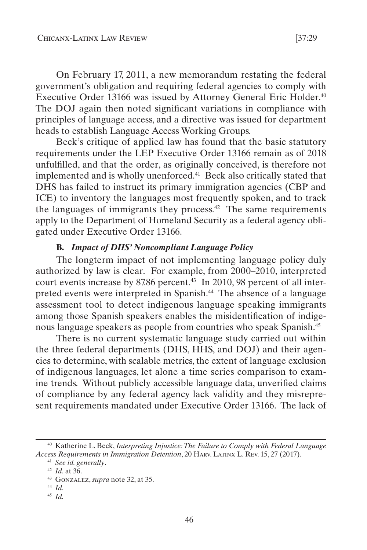<span id="page-18-0"></span>On February 17, 2011, a new memorandum restating the federal government's obligation and requiring federal agencies to comply with Executive Order 13166 was issued by Attorney General Eric Holder.40 The DOJ again then noted significant variations in compliance with principles of language access, and a directive was issued for department heads to establish Language Access Working Groups.

Beck's critique of applied law has found that the basic statutory requirements under the LEP Executive Order 13166 remain as of 2018 unfulfilled, and that the order, as originally conceived, is therefore not implemented and is wholly unenforced.<sup>41</sup> Beck also critically stated that DHS has failed to instruct its primary immigration agencies (CBP and ICE) to inventory the languages most frequently spoken, and to track the languages of immigrants they process.<sup>42</sup> The same requirements apply to the Department of Homeland Security as a federal agency obligated under Executive Order 13166.

## **B.** *Impact of DHS' Noncompliant Language Policy*

The longterm impact of not implementing language policy duly authorized by law is clear. For example, from 2000–2010, interpreted court events increase by 87.86 percent.<sup>43</sup> In 2010, 98 percent of all interpreted events were interpreted in Spanish.<sup>44</sup> The absence of a language assessment tool to detect indigenous language speaking immigrants among those Spanish speakers enables the misidentification of indigenous language speakers as people from countries who speak Spanish.45

There is no current systematic language study carried out within the three federal departments (DHS, HHS, and DOJ) and their agencies to determine, with scalable metrics, the extent of language exclusion of indigenous languages, let alone a time series comparison to examine trends. Without publicly accessible language data, unverified claims of compliance by any federal agency lack validity and they misrepresent requirements mandated under Executive Order 13166. The lack of

- <sup>44</sup> *Id.*
- <sup>45</sup> *Id.*

<sup>40</sup> Katherine L. Beck, *Interpreting Injustice: The Failure to Comply with Federal Language Access Requirements in Immigration Detention*, 20 Harv. Latinx L. Rev. 15, 27 (2017).

<sup>41</sup> *See id. generally*.

<sup>42</sup> *Id.* at 36.

<sup>43</sup> Gonzalez, *supra* note 32, at 35.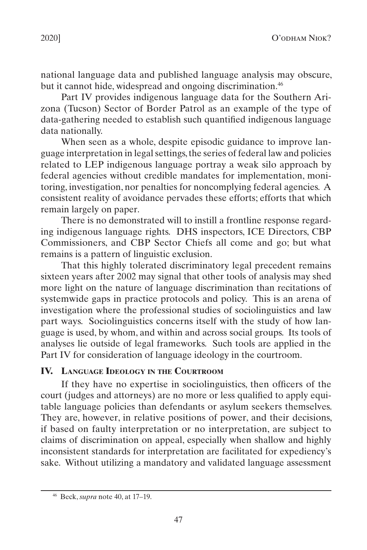<span id="page-19-0"></span>national language data and published language analysis may obscure, but it cannot hide, widespread and ongoing discrimination.<sup>46</sup>

Part IV provides indigenous language data for the Southern Arizona (Tucson) Sector of Border Patrol as an example of the type of data-gathering needed to establish such quantified indigenous language data nationally.

When seen as a whole, despite episodic guidance to improve language interpretation in legal settings, the series of federal law and policies related to LEP indigenous language portray a weak silo approach by federal agencies without credible mandates for implementation, monitoring, investigation, nor penalties for noncomplying federal agencies. A consistent reality of avoidance pervades these efforts; efforts that which remain largely on paper.

There is no demonstrated will to instill a frontline response regarding indigenous language rights. DHS inspectors, ICE Directors, CBP Commissioners, and CBP Sector Chiefs all come and go; but what remains is a pattern of linguistic exclusion.

That this highly tolerated discriminatory legal precedent remains sixteen years after 2002 may signal that other tools of analysis may shed more light on the nature of language discrimination than recitations of systemwide gaps in practice protocols and policy. This is an arena of investigation where the professional studies of sociolinguistics and law part ways. Sociolinguistics concerns itself with the study of how language is used, by whom, and within and across social groups. Its tools of analyses lie outside of legal frameworks. Such tools are applied in the Part [IV](#page-19-1) for consideration of language ideology in the courtroom.

### <span id="page-19-1"></span>**IV. Language Ideology in the Courtroom**

If they have no expertise in sociolinguistics, then officers of the court (judges and attorneys) are no more or less qualified to apply equitable language policies than defendants or asylum seekers themselves. They are, however, in relative positions of power, and their decisions, if based on faulty interpretation or no interpretation, are subject to claims of discrimination on appeal, especially when shallow and highly inconsistent standards for interpretation are facilitated for expediency's sake. Without utilizing a mandatory and validated language assessment

<sup>46</sup> Beck, *supra* note 40, at 17–19.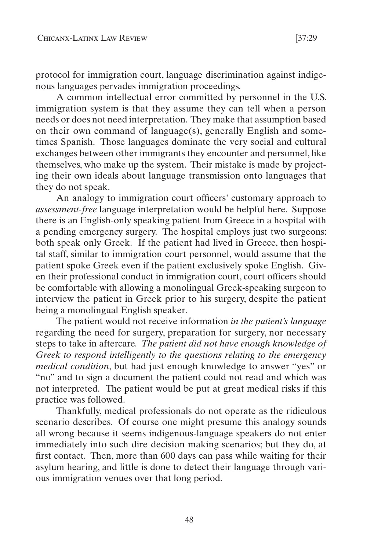protocol for immigration court, language discrimination against indigenous languages pervades immigration proceedings.

A common intellectual error committed by personnel in the U.S. immigration system is that they assume they can tell when a person needs or does not need interpretation. They make that assumption based on their own command of language(s), generally English and sometimes Spanish. Those languages dominate the very social and cultural exchanges between other immigrants they encounter and personnel, like themselves, who make up the system. Their mistake is made by projecting their own ideals about language transmission onto languages that they do not speak.

An analogy to immigration court officers' customary approach to *assessment-free* language interpretation would be helpful here. Suppose there is an English-only speaking patient from Greece in a hospital with a pending emergency surgery. The hospital employs just two surgeons: both speak only Greek.If the patient had lived in Greece, then hospital staff, similar to immigration court personnel, would assume that the patient spoke Greek even if the patient exclusively spoke English. Given their professional conduct in immigration court, court officers should be comfortable with allowing a monolingual Greek-speaking surgeon to interview the patient in Greek prior to his surgery, despite the patient being a monolingual English speaker.

The patient would not receive information *in the patient's language* regarding the need for surgery, preparation for surgery, nor necessary steps to take in aftercare*. The patient did not have enough knowledge of Greek to respond intelligently to the questions relating to the emergency medical condition*, but had just enough knowledge to answer "yes" or "no" and to sign a document the patient could not read and which was not interpreted.The patient would be put at great medical risks if this practice was followed.

Thankfully, medical professionals do not operate as the ridiculous scenario describes. Of course one might presume this analogy sounds all wrong because it seems indigenous-language speakers do not enter immediately into such dire decision making scenarios; but they do, at first contact. Then, more than 600 days can pass while waiting for their asylum hearing, and little is done to detect their language through various immigration venues over that long period.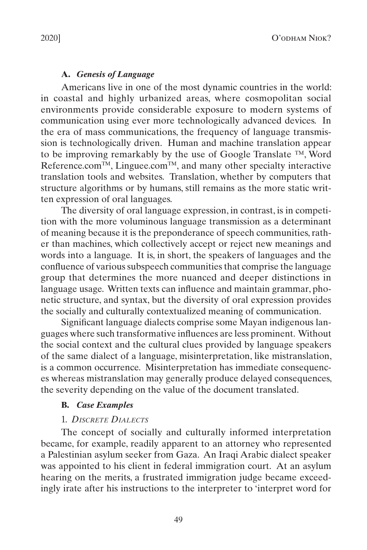## **A.** *Genesis of Language*

<span id="page-21-0"></span>Americans live in one of the most dynamic countries in the world: in coastal and highly urbanized areas, where cosmopolitan social environments provide considerable exposure to modern systems of communication using ever more technologically advanced devices. In the era of mass communications, the frequency of language transmission is technologically driven. Human and machine translation appear to be improving remarkably by the use of Google Translate ™, Word Reference.com<sup>TM</sup>, Linguee.com<sup>TM</sup>, and many other specialty interactive translation tools and websites. Translation, whether by computers that structure algorithms or by humans, still remains as the more static written expression of oral languages.

The diversity of oral language expression, in contrast, is in competition with the more voluminous language transmission as a determinant of meaning because it is the preponderance of speech communities, rather than machines, which collectively accept or reject new meanings and words into a language. It is, in short, the speakers of languages and the confluence of various subspeech communities that comprise the language group that determines the more nuanced and deeper distinctions in language usage. Written texts can influence and maintain grammar, phonetic structure, and syntax, but the diversity of oral expression provides the socially and culturally contextualized meaning of communication.

Significant language dialects comprise some Mayan indigenous languages where such transformative influences are less prominent. Without the social context and the cultural clues provided by language speakers of the same dialect of a language, misinterpretation, like mistranslation, is a common occurrence. Misinterpretation has immediate consequences whereas mistranslation may generally produce delayed consequences, the severity depending on the value of the document translated.

### **B.** *Case Examples*

## 1. *Discrete Dialects*

The concept of socially and culturally informed interpretation became, for example, readily apparent to an attorney who represented a Palestinian asylum seeker from Gaza. An Iraqi Arabic dialect speaker was appointed to his client in federal immigration court. At an asylum hearing on the merits, a frustrated immigration judge became exceedingly irate after his instructions to the interpreter to 'interpret word for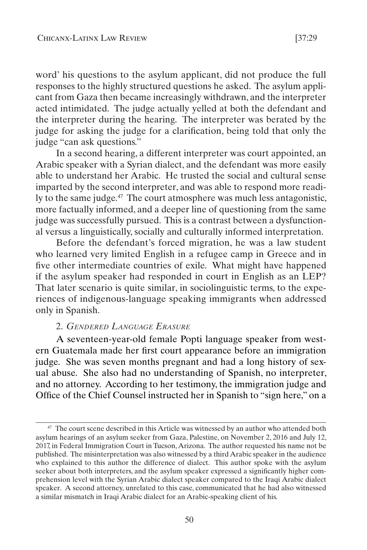<span id="page-22-0"></span>word' his questions to the asylum applicant, did not produce the full responses to the highly structured questions he asked. The asylum applicant from Gaza then became increasingly withdrawn, and the interpreter acted intimidated. The judge actually yelled at both the defendant and the interpreter during the hearing. The interpreter was berated by the judge for asking the judge for a clarification, being told that only the judge "can ask questions."

In a second hearing, a different interpreter was court appointed, an Arabic speaker with a Syrian dialect, and the defendant was more easily able to understand her Arabic. He trusted the social and cultural sense imparted by the second interpreter, and was able to respond more readily to the same judge.<sup>47</sup> The court atmosphere was much less antagonistic, more factually informed, and a deeper line of questioning from the same judge was successfully pursued. This is a contrast between a dysfunctional versus a linguistically, socially and culturally informed interpretation.

Before the defendant's forced migration, he was a law student who learned very limited English in a refugee camp in Greece and in five other intermediate countries of exile. What might have happened if the asylum speaker had responded in court in English as an LEP? That later scenario is quite similar, in sociolinguistic terms, to the experiences of indigenous-language speaking immigrants when addressed only in Spanish.

#### 2. *Gendered Language Erasure*

A seventeen-year-old female Popti language speaker from western Guatemala made her first court appearance before an immigration judge. She was seven months pregnant and had a long history of sexual abuse. She also had no understanding of Spanish, no interpreter, and no attorney. According to her testimony, the immigration judge and Office of the Chief Counsel instructed her in Spanish to "sign here," on a

<sup>&</sup>lt;sup>47</sup> The court scene described in this Article was witnessed by an author who attended both asylum hearings of an asylum seeker from Gaza, Palestine, on November 2, 2016 and July 12, 2017, in Federal Immigration Court in Tucson, Arizona. The author requested his name not be published. The misinterpretation was also witnessed by a third Arabic speaker in the audience who explained to this author the difference of dialect. This author spoke with the asylum seeker about both interpreters, and the asylum speaker expressed a significantly higher comprehension level with the Syrian Arabic dialect speaker compared to the Iraqi Arabic dialect speaker. A second attorney, unrelated to this case, communicated that he had also witnessed a similar mismatch in Iraqi Arabic dialect for an Arabic-speaking client of his.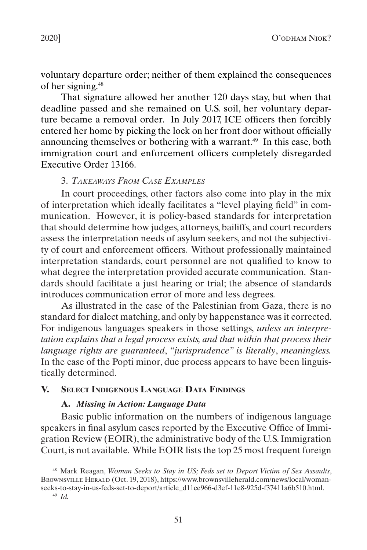<span id="page-23-0"></span>voluntary departure order; neither of them explained the consequences of her signing.48

That signature allowed her another 120 days stay, but when that deadline passed and she remained on U.S. soil, her voluntary departure became a removal order. In July 2017, ICE officers then forcibly entered her home by picking the lock on her front door without officially announcing themselves or bothering with a warrant.<sup>49</sup> In this case, both immigration court and enforcement officers completely disregarded Executive Order 13166.

## 3. *Takeaways From Case Examples*

In court proceedings, other factors also come into play in the mix of interpretation which ideally facilitates a "level playing field" in communication. However, it is policy-based standards for interpretation that should determine how judges, attorneys, bailiffs, and court recorders assess the interpretation needs of asylum seekers, and not the subjectivity of court and enforcement officers. Without professionally maintained interpretation standards, court personnel are not qualified to know to what degree the interpretation provided accurate communication. Standards should facilitate a just hearing or trial; the absence of standards introduces communication error of more and less degrees.

As illustrated in the case of the Palestinian from Gaza, there is no standard for dialect matching, and only by happenstance was it corrected. For indigenous languages speakers in those settings, *unless an interpretation explains that a legal process exists, and that within that process their language rights are guaranteed*, *"jurisprudence" is literally*, *meaningless.* In the case of the Popti minor, due process appears to have been linguistically determined.

#### **V. Select Indigenous Language Data Findings**

## **A.** *Missing in Action: Language Data*

Basic public information on the numbers of indigenous language speakers in final asylum cases reported by the Executive Office of Immigration Review (EOIR), the administrative body of the U.S. Immigration Court, is not available. While EOIR lists the top 25 most frequent foreign

<sup>48</sup> Mark Reagan, *Woman Seeks to Stay in US; Feds set to Deport Victim of Sex Assaults*, Brownsville Herald (Oct. 19, 2018), https://www.brownsvilleherald.com/news/local/womanseeks-to-stay-in-us-feds-set-to-deport/article\_d11ce966-d3ef-11e8-925d-f37411a6b510.html.

<sup>49</sup> *Id.*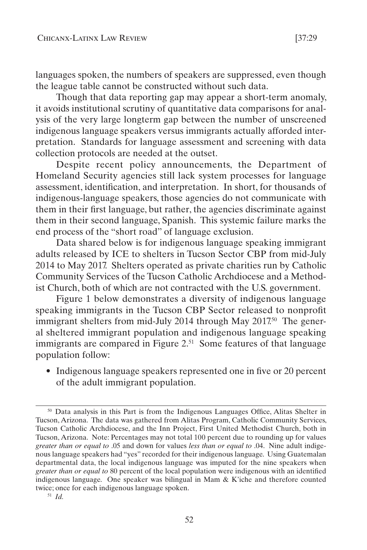languages spoken, the numbers of speakers are suppressed, even though the league table cannot be constructed without such data.

Though that data reporting gap may appear a short-term anomaly, it avoids institutional scrutiny of quantitative data comparisons for analysis of the very large longterm gap between the number of unscreened indigenous language speakers versus immigrants actually afforded interpretation. Standards for language assessment and screening with data collection protocols are needed at the outset.

Despite recent policy announcements, the Department of Homeland Security agencies still lack system processes for language assessment, identification, and interpretation. In short, for thousands of indigenous-language speakers, those agencies do not communicate with them in their first language, but rather, the agencies discriminate against them in their second language, Spanish. This systemic failure marks the end process of the "short road" of language exclusion.

Data shared below is for indigenous language speaking immigrant adults released by ICE to shelters in Tucson Sector CBP from mid-July 2014 to May 2017. Shelters operated as private charities run by Catholic Community Services of the Tucson Catholic Archdiocese and a Methodist Church, both of which are not contracted with the U.S. government.

Figure 1 below demonstrates a diversity of indigenous language speaking immigrants in the Tucson CBP Sector released to nonprofit immigrant shelters from mid-July 2014 through May 2017<sup>50</sup> The general sheltered immigrant population and indigenous language speaking immigrants are compared in Figure 2.<sup>51</sup> Some features of that language population follow:

• Indigenous language speakers represented one in five or 20 percent of the adult immigrant population.

<sup>50</sup> Data analysis in this Part is from the Indigenous Languages Office, Alitas Shelter in Tucson, Arizona. The data was gathered from Alitas Program, Catholic Community Services, Tucson Catholic Archdiocese, and the Inn Project, First United Methodist Church, both in Tucson, Arizona. Note: Percentages may not total 100 percent due to rounding up for values *greater than or equal to* .05 and down for values *less than or equal to* .04. Nine adult indigenous language speakers had "yes" recorded for their indigenous language. Using Guatemalan departmental data, the local indigenous language was imputed for the nine speakers when *greater than or equal to* 80 percent of the local population were indigenous with an identified indigenous language. One speaker was bilingual in Mam & K'iche and therefore counted twice; once for each indigenous language spoken.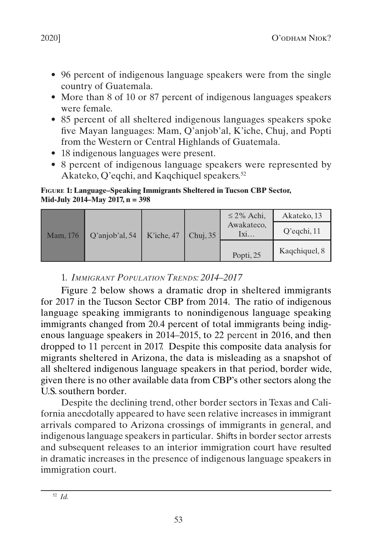- <span id="page-25-0"></span>• 96 percent of indigenous language speakers were from the single country of Guatemala.
- More than 8 of 10 or 87 percent of indigenous languages speakers were female.
- 85 percent of all sheltered indigenous languages speakers spoke five Mayan languages: Mam, Q'anjob'al, K'iche, Chuj, and Popti from the Western or Central Highlands of Guatemala.
- 18 indigenous languages were present.
- 8 percent of indigenous language speakers were represented by Akateko, Q'eqchi, and Kaqchiquel speakers.<sup>52</sup>

#### **Figure 1: Language–Speaking Immigrants Sheltered in Tucson CBP Sector, Mid-July 2014–May 2017, n = 398**

|          | Q'anjob'al, 54 | K'iche, 47 | Chuj, $35$ | $\leq$ 2% Achi,<br>Awakateco,<br>Ixi | Akateko, 13    |
|----------|----------------|------------|------------|--------------------------------------|----------------|
| Mam, 176 |                |            |            |                                      | $Q'$ eqchi, 11 |
|          |                |            |            | Popti, 25                            | Kagchiquel, 8  |

## 1. *Immigrant Population Trends: 2014–2017*

Figure 2 below shows a dramatic drop in sheltered immigrants for 2017 in the Tucson Sector CBP from 2014. The ratio of indigenous language speaking immigrants to nonindigenous language speaking immigrants changed from 20.4 percent of total immigrants being indigenous language speakers in 2014–2015, to 22 percent in 2016, and then dropped to 11 percent in 2017. Despite this composite data analysis for migrants sheltered in Arizona, the data is misleading as a snapshot of all sheltered indigenous language speakers in that period, border wide, given there is no other available data from CBP's other sectors along the U.S. southern border.

Despite the declining trend, other border sectors in Texas and California anecdotally appeared to have seen relative increases in immigrant arrivals compared to Arizona crossings of immigrants in general, and indigenous language speakers in particular. Shifts in border sector arrests and subsequent releases to an interior immigration court have resulted in dramatic increases in the presence of indigenous language speakers in immigration court.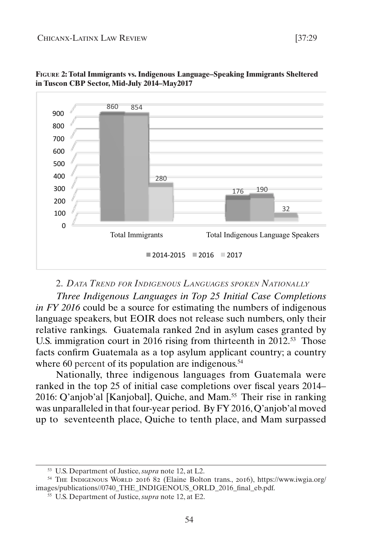

<span id="page-26-0"></span>

#### 2. *Data Trend for Indigenous Languages spoken Nationally*

*Three Indigenous Languages in Top 25 Initial Case Completions in FY 2016* could be a source for estimating the numbers of indigenous language speakers, but EOIR does not release such numbers, only their relative rankings.Guatemala ranked 2nd in asylum cases granted by U.S. immigration court in 2016 rising from thirteenth in 2012.<sup>53</sup> Those facts confirm Guatemala as a top asylum applicant country; a country where 60 percent of its population are indigenous.<sup>54</sup>

Nationally, three indigenous languages from Guatemala were ranked in the top 25 of initial case completions over fiscal years 2014– 2016: Q'anjob'al [Kanjobal], Quiche, and Mam.55 Their rise in ranking was unparalleled in that four-year period. By FY 2016, Q'anjob'al moved up to seventeenth place, Quiche to tenth place, and Mam surpassed

<sup>53</sup> U.S. Department of Justice, *supra* note 12, at L2.

<sup>54</sup> The Indigenous World 2016 82 (Elaine Bolton trans., 2016), https://www.iwgia.org/ images/publications//0740\_THE\_INDIGENOUS\_ORLD\_2016\_final\_eb.pdf.

<sup>55</sup> U.S. Department of Justice, *supra* note 12, at E2.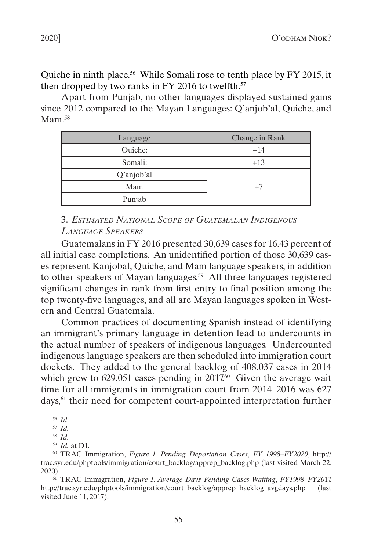<span id="page-27-0"></span>Quiche in ninth place.<sup>56</sup> While Somali rose to tenth place by FY 2015, it then dropped by two ranks in FY 2016 to twelfth. $57$ 

Apart from Punjab, no other languages displayed sustained gains since 2012 compared to the Mayan Languages: Q'anjob'al, Quiche, and Mam.<sup>58</sup>

| Language   | Change in Rank |
|------------|----------------|
| Ouiche:    | $+14$          |
| Somali:    | $+13$          |
| Q'anjob'al |                |
| Mam        | $+7$           |
| Punjab     |                |

## 3. *Estimated National Scope of Guatemalan Indigenous Language Speakers*

Guatemalans in FY 2016 presented 30,639 cases for 16.43 percent of all initial case completions. An unidentified portion of those 30,639 cases represent Kanjobal, Quiche, and Mam language speakers, in addition to other speakers of Mayan languages.<sup>59</sup> All three languages registered significant changes in rank from first entry to final position among the top twenty-five languages, and all are Mayan languages spoken in Western and Central Guatemala.

Common practices of documenting Spanish instead of identifying an immigrant's primary language in detention lead to undercounts in the actual number of speakers of indigenous languages. Undercounted indigenous language speakers are then scheduled into immigration court dockets. They added to the general backlog of 408,037 cases in 2014 which grew to  $629,051$  cases pending in  $2017<sup>60</sup>$  Given the average wait time for all immigrants in immigration court from 2014–2016 was 627 days,61 their need for competent court-appointed interpretation further

<sup>56</sup> *Id.*

<sup>57</sup> *Id.*

<sup>58</sup> *Id.*

<sup>59</sup> *Id.* at D1.

<sup>60</sup> TRAC Immigration, *Figure 1. Pending Deportation Cases*, *FY 1998–FY2020*, http:// trac.syr.edu/phptools/immigration/court\_backlog/apprep\_backlog.php (last visited March 22, 2020).

<sup>61</sup> TRAC Immigration, *Figure 1. Average Days Pending Cases Waiting*, *FY1998–FY20*17, http://trac.syr.edu/phptools/immigration/court\_backlog/apprep\_backlog\_avgdays.php (last visited June 11, 2017).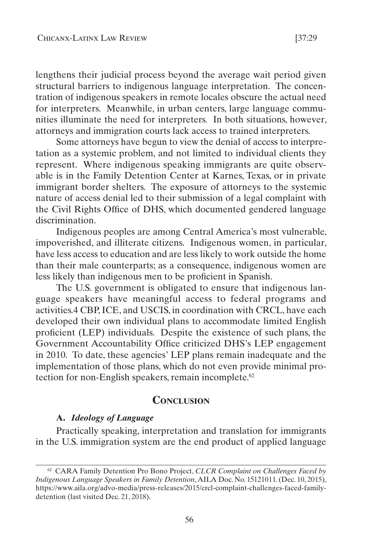<span id="page-28-0"></span>lengthens their judicial process beyond the average wait period given structural barriers to indigenous language interpretation. The concentration of indigenous speakers in remote locales obscure the actual need for interpreters. Meanwhile, in urban centers, large language communities illuminate the need for interpreters. In both situations, however, attorneys and immigration courts lack access to trained interpreters.

Some attorneys have begun to view the denial of access to interpretation as a systemic problem, and not limited to individual clients they represent. Where indigenous speaking immigrants are quite observable is in the Family Detention Center at Karnes, Texas, or in private immigrant border shelters. The exposure of attorneys to the systemic nature of access denial led to their submission of a legal complaint with the Civil Rights Office of DHS, which documented gendered language discrimination.

Indigenous peoples are among Central America's most vulnerable, impoverished, and illiterate citizens. Indigenous women, in particular, have less access to education and are less likely to work outside the home than their male counterparts; as a consequence, indigenous women are less likely than indigenous men to be proficient in Spanish.

The U.S. government is obligated to ensure that indigenous language speakers have meaningful access to federal programs and activities.4 CBP, ICE, and USCIS, in coordination with CRCL, have each developed their own individual plans to accommodate limited English proficient (LEP) individuals. Despite the existence of such plans, the Government Accountability Office criticized DHS's LEP engagement in 2010. To date, these agencies' LEP plans remain inadequate and the implementation of those plans, which do not even provide minimal protection for non-English speakers, remain incomplete.<sup>62</sup>

## **Conclusion**

#### **A.** *Ideology of Language*

Practically speaking, interpretation and translation for immigrants in the U.S. immigration system are the end product of applied language

<sup>62</sup> CARA Family Detention Pro Bono Project, *CLCR Complaint on Challenges Faced by Indigenous Language Speakers in Family Detention*, AILA Doc. No. 15121011. (Dec. 10, 2015), https://www.aila.org/advo-media/press-releases/2015/crcl-complaint-challenges-faced-familydetention (last visited Dec. 21, 2018).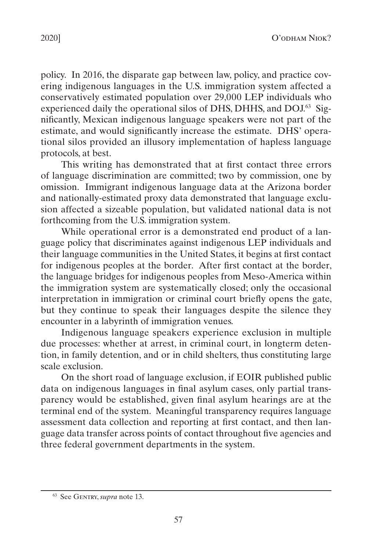policy. In 2016, the disparate gap between law, policy, and practice covering indigenous languages in the U.S. immigration system affected a conservatively estimated population over 29,000 LEP individuals who experienced daily the operational silos of DHS, DHHS, and DOJ.<sup>63</sup> Significantly, Mexican indigenous language speakers were not part of the estimate, and would significantly increase the estimate. DHS' operational silos provided an illusory implementation of hapless language protocols, at best.

This writing has demonstrated that at first contact three errors of language discrimination are committed; two by commission, one by omission. Immigrant indigenous language data at the Arizona border and nationally-estimated proxy data demonstrated that language exclusion affected a sizeable population, but validated national data is not forthcoming from the U.S. immigration system.

While operational error is a demonstrated end product of a language policy that discriminates against indigenous LEP individuals and their language communities in the United States, it begins at first contact for indigenous peoples at the border. After first contact at the border, the language bridges for indigenous peoples from Meso-America within the immigration system are systematically closed; only the occasional interpretation in immigration or criminal court briefly opens the gate, but they continue to speak their languages despite the silence they encounter in a labyrinth of immigration venues.

Indigenous language speakers experience exclusion in multiple due processes: whether at arrest, in criminal court, in longterm detention, in family detention, and or in child shelters, thus constituting large scale exclusion.

On the short road of language exclusion, if EOIR published public data on indigenous languages in final asylum cases, only partial transparency would be established, given final asylum hearings are at the terminal end of the system. Meaningful transparency requires language assessment data collection and reporting at first contact, and then language data transfer across points of contact throughout five agencies and three federal government departments in the system.

<sup>63</sup> See Gentry, *supra* note 13.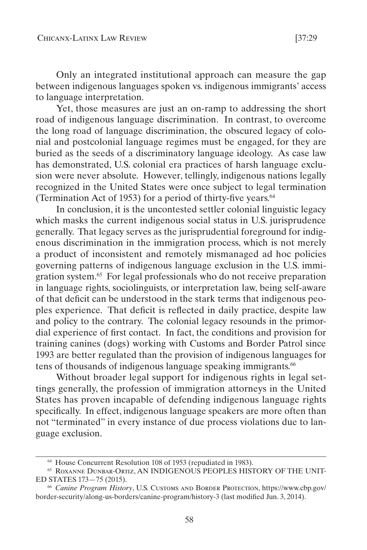Only an integrated institutional approach can measure the gap between indigenous languages spoken vs. indigenous immigrants' access to language interpretation.

Yet, those measures are just an on-ramp to addressing the short road of indigenous language discrimination. In contrast, to overcome the long road of language discrimination, the obscured legacy of colonial and postcolonial language regimes must be engaged, for they are buried as the seeds of a discriminatory language ideology. As case law has demonstrated, U.S. colonial era practices of harsh language exclusion were never absolute. However, tellingly, indigenous nations legally recognized in the United States were once subject to legal termination (Termination Act of 1953) for a period of thirty-five years.64

In conclusion, it is the uncontested settler colonial linguistic legacy which masks the current indigenous social status in U.S. jurisprudence generally. That legacy serves as the jurisprudential foreground for indigenous discrimination in the immigration process, which is not merely a product of inconsistent and remotely mismanaged ad hoc policies governing patterns of indigenous language exclusion in the U.S. immigration system.65 For legal professionals who do not receive preparation in language rights, sociolinguists, or interpretation law, being self-aware of that deficit can be understood in the stark terms that indigenous peoples experience. That deficit is reflected in daily practice, despite law and policy to the contrary. The colonial legacy resounds in the primordial experience of first contact. In fact, the conditions and provision for training canines (dogs) working with Customs and Border Patrol since 1993 are better regulated than the provision of indigenous languages for tens of thousands of indigenous language speaking immigrants.<sup>66</sup>

Without broader legal support for indigenous rights in legal settings generally, the profession of immigration attorneys in the United States has proven incapable of defending indigenous language rights specifically. In effect, indigenous language speakers are more often than not "terminated" in every instance of due process violations due to language exclusion.

<sup>64</sup> House Concurrent Resolution 108 of 1953 (repudiated in 1983).

<sup>65</sup> Roxanne Dunbar-Ortiz, AN INDIGENOUS PEOPLES HISTORY OF THE UNIT-ED STATES 173—75 (2015).

<sup>66</sup> *Canine Program History*, U.S. Customs and Border Protection, https://www.cbp.gov/ border-security/along-us-borders/canine-program/history-3 (last modified Jun. 3, 2014).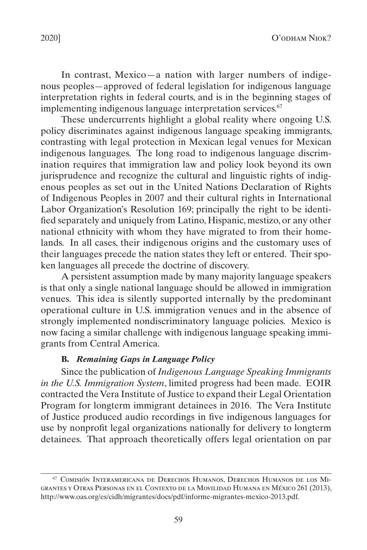<span id="page-31-0"></span>In contrast, Mexico—a nation with larger numbers of indigenous peoples—approved of federal legislation for indigenous language interpretation rights in federal courts, and is in the beginning stages of implementing indigenous language interpretation services.<sup>67</sup>

These undercurrents highlight a global reality where ongoing U.S. policy discriminates against indigenous language speaking immigrants, contrasting with legal protection in Mexican legal venues for Mexican indigenous languages. The long road to indigenous language discrimination requires that immigration law and policy look beyond its own jurisprudence and recognize the cultural and linguistic rights of indigenous peoples as set out in the United Nations Declaration of Rights of Indigenous Peoples in 2007 and their cultural rights in International Labor Organization's Resolution 169; principally the right to be identified separately and uniquely from Latino, Hispanic, mestizo, or any other national ethnicity with whom they have migrated to from their homelands. In all cases, their indigenous origins and the customary uses of their languages precede the nation states they left or entered. Their spoken languages all precede the doctrine of discovery.

A persistent assumption made by many majority language speakers is that only a single national language should be allowed in immigration venues. This idea is silently supported internally by the predominant operational culture in U.S. immigration venues and in the absence of strongly implemented nondiscriminatory language policies. Mexico is now facing a similar challenge with indigenous language speaking immigrants from Central America.

### **B.** *Remaining Gaps in Language Policy*

Since the publication of *Indigenous Language Speaking Immigrants in the U.S. Immigration System*, limited progress had been made. EOIR contracted the Vera Institute of Justice to expand their Legal Orientation Program for longterm immigrant detainees in 2016. The Vera Institute of Justice produced audio recordings in five indigenous languages for use by nonprofit legal organizations nationally for delivery to longterm detainees. That approach theoretically offers legal orientation on par

<sup>67</sup> Comisión Interamericana de Derechos Humanos, Derechos Humanos de los Migrantes y Otras Personas en el Contexto de la Movilidad Humana en México 261 (2013), http://www.oas.org/es/cidh/migrantes/docs/pdf/informe-migrantes-mexico-2013.pdf.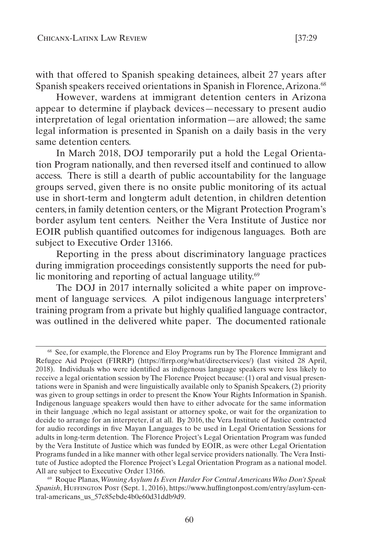with that offered to Spanish speaking detainees, albeit 27 years after Spanish speakers received orientations in Spanish in Florence, Arizona.<sup>68</sup>

However, wardens at immigrant detention centers in Arizona appear to determine if playback devices—necessary to present audio interpretation of legal orientation information—are allowed; the same legal information is presented in Spanish on a daily basis in the very same detention centers.

In March 2018, DOJ temporarily put a hold the Legal Orientation Program nationally, and then reversed itself and continued to allow access. There is still a dearth of public accountability for the language groups served, given there is no onsite public monitoring of its actual use in short-term and longterm adult detention, in children detention centers, in family detention centers, or the Migrant Protection Program's border asylum tent centers. Neither the Vera Institute of Justice nor EOIR publish quantified outcomes for indigenous languages. Both are subject to Executive Order 13166.

Reporting in the press about discriminatory language practices during immigration proceedings consistently supports the need for public monitoring and reporting of actual language utility.<sup>69</sup>

The DOJ in 2017 internally solicited a white paper on improvement of language services. A pilot indigenous language interpreters' training program from a private but highly qualified language contractor, was outlined in the delivered white paper. The documented rationale

<sup>&</sup>lt;sup>68</sup> See, for example, the Florence and Eloy Programs run by The Florence Immigrant and Refugee Aid Project (FIRRP) (https://firrp.org/what/directservices/) (last visited 28 April, 2018). Individuals who were identified as indigenous language speakers were less likely to receive a legal orientation session by The Florence Project because: (1) oral and visual presentations were in Spanish and were linguistically available only to Spanish Speakers, (2) priority was given to group settings in order to present the Know Your Rights Information in Spanish. Indigenous language speakers would then have to either advocate for the same information in their language ,which no legal assistant or attorney spoke, or wait for the organization to decide to arrange for an interpreter, if at all. By 2016, the Vera Institute of Justice contracted for audio recordings in five Mayan Languages to be used in Legal Orientation Sessions for adults in long-term detention. The Florence Project's Legal Orientation Program was funded by the Vera Institute of Justice which was funded by EOIR, as were other Legal Orientation Programs funded in a like manner with other legal service providers nationally. The Vera Institute of Justice adopted the Florence Project's Legal Orientation Program as a national model. All are subject to Executive Order 13166.

<sup>69</sup> Roque Planas, *Winning Asylum Is Even Harder For Central Americans Who Don't Speak Spanish*, Huffington Post (Sept. 1, 2016), https://www.huffingtonpost.com/entry/asylum-central-americans\_us\_57c85ebde4b0e60d31ddb9d9.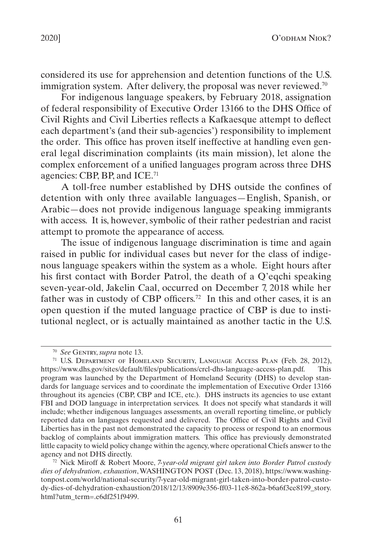considered its use for apprehension and detention functions of the U.S. immigration system. After delivery, the proposal was never reviewed.<sup>70</sup>

For indigenous language speakers, by February 2018, assignation of federal responsibility of Executive Order 13166 to the DHS Office of Civil Rights and Civil Liberties reflects a Kafkaesque attempt to deflect each department's (and their sub-agencies') responsibility to implement the order. This office has proven itself ineffective at handling even general legal discrimination complaints (its main mission), let alone the complex enforcement of a unified languages program across three DHS agencies: CBP, BP, and ICE.71

A toll-free number established by DHS outside the confines of detention with only three available languages—English, Spanish, or Arabic—does not provide indigenous language speaking immigrants with access. It is, however, symbolic of their rather pedestrian and racist attempt to promote the appearance of access.

The issue of indigenous language discrimination is time and again raised in public for individual cases but never for the class of indigenous language speakers within the system as a whole. Eight hours after his first contact with Border Patrol, the death of a Q'eqchi speaking seven-year-old, Jakelin Caal, occurred on December 7, 2018 while her father was in custody of CBP officers.<sup>72</sup> In this and other cases, it is an open question if the muted language practice of CBP is due to institutional neglect, or is actually maintained as another tactic in the U.S.

<sup>70</sup> *See* Gentry, *supra* note 13.

<sup>71</sup> U.S. Department of Homeland Security, Language Access Plan (Feb. 28, 2012), https://www.dhs.gov/sites/default/files/publications/crcl-dhs-language-access-plan.pdf. This program was launched by the Department of Homeland Security (DHS) to develop standards for language services and to coordinate the implementation of Executive Order 13166 throughout its agencies (CBP, CBP and ICE, etc.). DHS instructs its agencies to use extant FBI and DOD language in interpretation services. It does not specify what standards it will include; whether indigenous languages assessments, an overall reporting timeline, or publicly reported data on languages requested and delivered. The Office of Civil Rights and Civil Liberties has in the past not demonstrated the capacity to process or respond to an enormous backlog of complaints about immigration matters. This office has previously demonstrated little capacity to wield policy change within the agency, where operational Chiefs answer to the agency and not DHS directly.

<sup>72</sup> Nick Miroff & Robert Moore, *7-year-old migrant girl taken into Border Patrol custody dies of dehydration*, *exhaustion*, WASHINGTON POST (Dec. 13, 2018), https://www.washingtonpost.com/world/national-security/7-year-old-migrant-girl-taken-into-border-patrol-custody-dies-of-dehydration-exhaustion/2018/12/13/8909e356-ff03-11e8-862a-b6a6f3ce8199\_story. html?utm\_term=.e6df251f9499.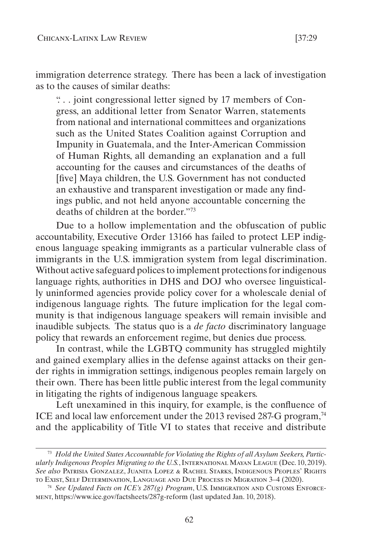immigration deterrence strategy. There has been a lack of investigation as to the causes of similar deaths:

". . . joint congressional letter signed by 17 members of Congress, an additional letter from Senator Warren, statements from national and international committees and organizations such as the United States Coalition against Corruption and Impunity in Guatemala, and the Inter-American Commission of Human Rights, all demanding an explanation and a full accounting for the causes and circumstances of the deaths of [five] Maya children, the U.S. Government has not conducted an exhaustive and transparent investigation or made any findings public, and not held anyone accountable concerning the deaths of children at the border."73

Due to a hollow implementation and the obfuscation of public accountability, Executive Order 13166 has failed to protect LEP indigenous language speaking immigrants as a particular vulnerable class of immigrants in the U.S. immigration system from legal discrimination. Without active safeguard polices to implement protections for indigenous language rights, authorities in DHS and DOJ who oversee linguistically uninformed agencies provide policy cover for a wholescale denial of indigenous language rights. The future implication for the legal community is that indigenous language speakers will remain invisible and inaudible subjects. The status quo is a *de facto* discriminatory language policy that rewards an enforcement regime, but denies due process.

In contrast, while the LGBTQ community has struggled mightily and gained exemplary allies in the defense against attacks on their gender rights in immigration settings, indigenous peoples remain largely on their own. There has been little public interest from the legal community in litigating the rights of indigenous language speakers.

Left unexamined in this inquiry, for example, is the confluence of ICE and local law enforcement under the 2013 revised 287-G program,<sup>74</sup> and the applicability of Title VI to states that receive and distribute

<sup>73</sup> *Hold the United States Accountable for Violating the Rights of all Asylum Seekers, Particularly Indigenous Peoples Migrating to the U.S.*, International Mayan League (Dec. 10, 2019). *See also* Patrisia Gonzalez, Juanita Lopez & Rachel Starks, Indigenous Peoples' Rights to Exist, Self Determination, Language and Due Process in Migration 3–4 (2020).

<sup>74</sup> *See Updated Facts on ICE's 287(g) Program*, U.S. Immigration and Customs Enforcement, https://www.ice.gov/factsheets/287g-reform (last updated Jan. 10, 2018).